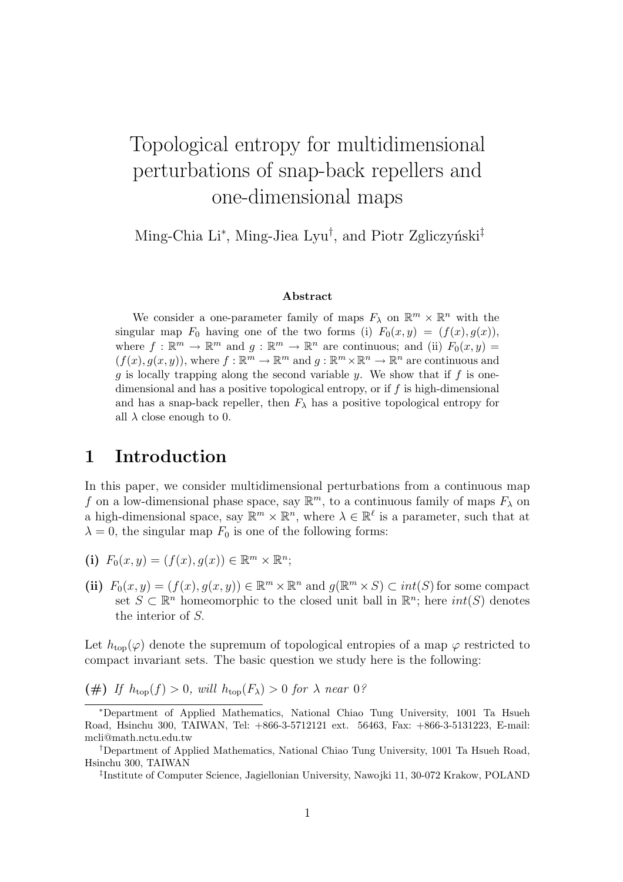# Topological entropy for multidimensional perturbations of snap-back repellers and one-dimensional maps

Ming-Chia Li<sup>\*</sup>, Ming-Jiea Lyu<sup>†</sup>, and Piotr Zgliczyński<sup>‡</sup>

#### Abstract

We consider a one-parameter family of maps  $F_{\lambda}$  on  $\mathbb{R}^m \times \mathbb{R}^n$  with the singular map  $F_0$  having one of the two forms (i)  $F_0(x, y) = (f(x), g(x)),$ where  $f: \mathbb{R}^m \to \mathbb{R}^m$  and  $g: \mathbb{R}^m \to \mathbb{R}^n$  are continuous; and (ii)  $F_0(x, y) =$  $(f(x), g(x, y))$ , where  $f : \mathbb{R}^m \to \mathbb{R}^m$  and  $g : \mathbb{R}^m \times \mathbb{R}^n \to \mathbb{R}^n$  are continuous and  $g$  is locally trapping along the second variable  $y$ . We show that if  $f$  is onedimensional and has a positive topological entropy, or if  $f$  is high-dimensional and has a snap-back repeller, then  $F_{\lambda}$  has a positive topological entropy for all  $\lambda$  close enough to 0.

#### 1 Introduction

In this paper, we consider multidimensional perturbations from a continuous map f on a low-dimensional phase space, say  $\mathbb{R}^m$ , to a continuous family of maps  $F_\lambda$  on a high-dimensional space, say  $\mathbb{R}^m \times \mathbb{R}^n$ , where  $\lambda \in \mathbb{R}^{\ell}$  is a parameter, such that at  $\lambda = 0$ , the singular map  $F_0$  is one of the following forms:

- (i)  $F_0(x, y) = (f(x), g(x)) \in \mathbb{R}^m \times \mathbb{R}^n;$
- (ii)  $F_0(x, y) = (f(x), g(x, y)) \in \mathbb{R}^m \times \mathbb{R}^n$  and  $g(\mathbb{R}^m \times S) \subset int(S)$  for some compact set  $S \subset \mathbb{R}^n$  homeomorphic to the closed unit ball in  $\mathbb{R}^n$ ; here  $int(S)$  denotes the interior of S.

Let  $h_{\text{top}}(\varphi)$  denote the supremum of topological entropies of a map  $\varphi$  restricted to compact invariant sets. The basic question we study here is the following:

(#) If  $h_{\text{top}}(f) > 0$ , will  $h_{\text{top}}(F_\lambda) > 0$  for  $\lambda$  near 0?

<sup>∗</sup>Department of Applied Mathematics, National Chiao Tung University, 1001 Ta Hsueh Road, Hsinchu 300, TAIWAN, Tel: +866-3-5712121 ext. 56463, Fax: +866-3-5131223, E-mail: mcli@math.nctu.edu.tw

<sup>†</sup>Department of Applied Mathematics, National Chiao Tung University, 1001 Ta Hsueh Road, Hsinchu 300, TAIWAN

<sup>‡</sup> Institute of Computer Science, Jagiellonian University, Nawojki 11, 30-072 Krakow, POLAND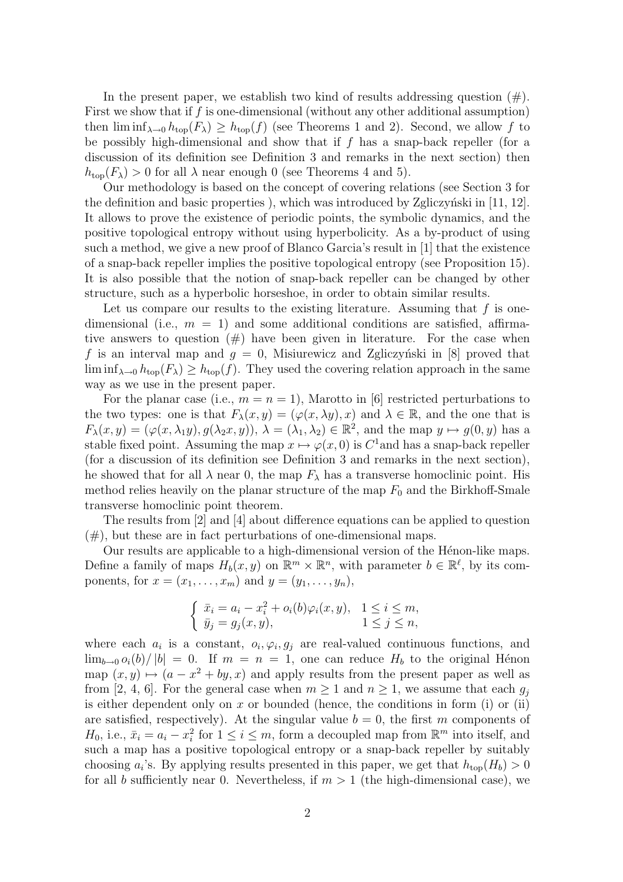In the present paper, we establish two kind of results addressing question  $(\#)$ . First we show that if f is one-dimensional (without any other additional assumption) then  $\liminf_{\lambda\to 0} h_{top}(F_\lambda) \geq h_{top}(f)$  (see Theorems 1 and 2). Second, we allow f to be possibly high-dimensional and show that if  $f$  has a snap-back repeller (for a discussion of its definition see Definition 3 and remarks in the next section) then  $h_{\text{top}}(F_{\lambda}) > 0$  for all  $\lambda$  near enough 0 (see Theorems 4 and 5).

Our methodology is based on the concept of covering relations (see Section 3 for the definition and basic properties), which was introduced by Zgliczyński in  $[11, 12]$ . It allows to prove the existence of periodic points, the symbolic dynamics, and the positive topological entropy without using hyperbolicity. As a by-product of using such a method, we give a new proof of Blanco Garcia's result in [1] that the existence of a snap-back repeller implies the positive topological entropy (see Proposition 15). It is also possible that the notion of snap-back repeller can be changed by other structure, such as a hyperbolic horseshoe, in order to obtain similar results.

Let us compare our results to the existing literature. Assuming that  $f$  is onedimensional (i.e.,  $m = 1$ ) and some additional conditions are satisfied, affirmative answers to question  $(\#)$  have been given in literature. For the case when f is an interval map and  $g = 0$ , Misiurewicz and Zgliczyński in [8] proved that  $\liminf_{\lambda\to 0} h_{\text{top}}(F_\lambda) \geq h_{\text{top}}(f)$ . They used the covering relation approach in the same way as we use in the present paper.

For the planar case (i.e.,  $m = n = 1$ ), Marotto in [6] restricted perturbations to the two types: one is that  $F_{\lambda}(x, y) = (\varphi(x, \lambda y), x)$  and  $\lambda \in \mathbb{R}$ , and the one that is  $F_{\lambda}(x,y) = (\varphi(x,\lambda_1y), g(\lambda_2x, y)), \lambda = (\lambda_1, \lambda_2) \in \mathbb{R}^2$ , and the map  $y \mapsto g(0, y)$  has a stable fixed point. Assuming the map  $x \mapsto \varphi(x, 0)$  is  $C^1$  and has a snap-back repeller (for a discussion of its definition see Definition 3 and remarks in the next section), he showed that for all  $\lambda$  near 0, the map  $F_{\lambda}$  has a transverse homoclinic point. His method relies heavily on the planar structure of the map  $F_0$  and the Birkhoff-Smale transverse homoclinic point theorem.

The results from [2] and [4] about difference equations can be applied to question  $(\#)$ , but these are in fact perturbations of one-dimensional maps.

Our results are applicable to a high-dimensional version of the Hénon-like maps. Define a family of maps  $H_b(x, y)$  on  $\mathbb{R}^m \times \mathbb{R}^n$ , with parameter  $b \in \mathbb{R}^{\ell}$ , by its components, for  $x = (x_1, \ldots, x_m)$  and  $y = (y_1, \ldots, y_n)$ ,

$$
\begin{cases} \bar{x}_i = a_i - x_i^2 + o_i(b)\varphi_i(x, y), & 1 \le i \le m, \\ \bar{y}_j = g_j(x, y), & 1 \le j \le n, \end{cases}
$$

where each  $a_i$  is a constant,  $o_i, \varphi_i, g_j$  are real-valued continuous functions, and  $\lim_{b\to 0} o_i(b)/|b| = 0$ . If  $m = n = 1$ , one can reduce  $H_b$  to the original Hénon map  $(x, y) \mapsto (a - x^2 + by, x)$  and apply results from the present paper as well as from [2, 4, 6]. For the general case when  $m \geq 1$  and  $n \geq 1$ , we assume that each  $g_i$ is either dependent only on x or bounded (hence, the conditions in form  $(i)$  or  $(ii)$ ) are satisfied, respectively). At the singular value  $b = 0$ , the first m components of  $H_0$ , i.e.,  $\bar{x}_i = a_i - x_i^2$  for  $1 \leq i \leq m$ , form a decoupled map from  $\mathbb{R}^m$  into itself, and such a map has a positive topological entropy or a snap-back repeller by suitably choosing  $a_i$ 's. By applying results presented in this paper, we get that  $h_{\text{top}}(H_b) > 0$ for all b sufficiently near 0. Nevertheless, if  $m > 1$  (the high-dimensional case), we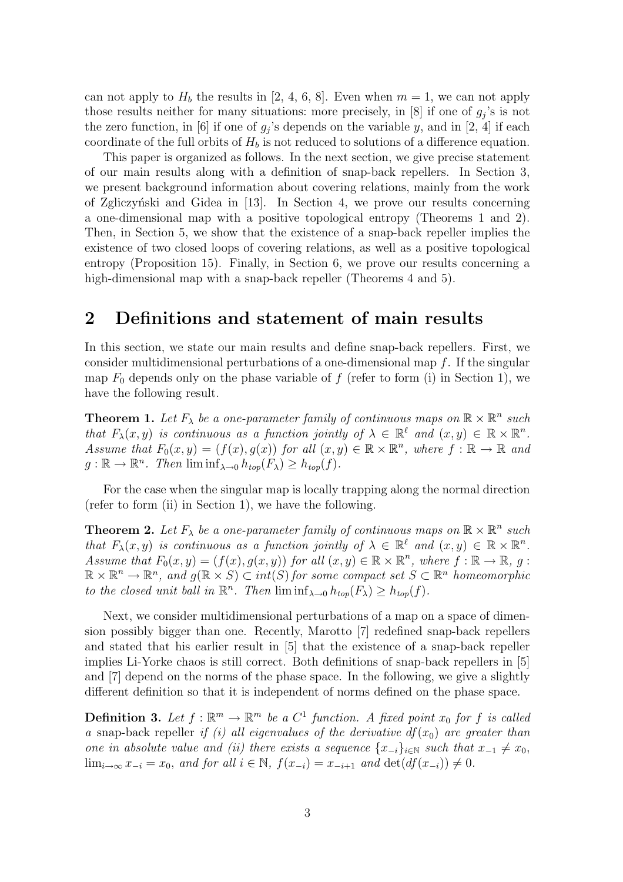can not apply to  $H_b$  the results in [2, 4, 6, 8]. Even when  $m = 1$ , we can not apply those results neither for many situations: more precisely, in [8] if one of  $g_j$ 's is not the zero function, in [6] if one of  $g_j$ 's depends on the variable y, and in [2, 4] if each coordinate of the full orbits of  $H_b$  is not reduced to solutions of a difference equation.

This paper is organized as follows. In the next section, we give precise statement of our main results along with a definition of snap-back repellers. In Section 3, we present background information about covering relations, mainly from the work of Zgliczyński and Gidea in [13]. In Section 4, we prove our results concerning a one-dimensional map with a positive topological entropy (Theorems 1 and 2). Then, in Section 5, we show that the existence of a snap-back repeller implies the existence of two closed loops of covering relations, as well as a positive topological entropy (Proposition 15). Finally, in Section 6, we prove our results concerning a high-dimensional map with a snap-back repeller (Theorems 4 and 5).

### 2 Definitions and statement of main results

In this section, we state our main results and define snap-back repellers. First, we consider multidimensional perturbations of a one-dimensional map  $f$ . If the singular map  $F_0$  depends only on the phase variable of f (refer to form (i) in Section 1), we have the following result.

**Theorem 1.** Let  $F_{\lambda}$  be a one-parameter family of continuous maps on  $\mathbb{R} \times \mathbb{R}^n$  such that  $F_{\lambda}(x, y)$  is continuous as a function jointly of  $\lambda \in \mathbb{R}^{\ell}$  and  $(x, y) \in \mathbb{R} \times \mathbb{R}^{n}$ . Assume that  $F_0(x, y) = (f(x), g(x))$  for all  $(x, y) \in \mathbb{R} \times \mathbb{R}^n$ , where  $f : \mathbb{R} \to \mathbb{R}$  and  $g: \mathbb{R} \to \mathbb{R}^n$ . Then  $\liminf_{\lambda \to 0} h_{top}(F_{\lambda}) \geq h_{top}(f)$ .

For the case when the singular map is locally trapping along the normal direction (refer to form (ii) in Section 1), we have the following.

**Theorem 2.** Let  $F_{\lambda}$  be a one-parameter family of continuous maps on  $\mathbb{R} \times \mathbb{R}^n$  such that  $F_{\lambda}(x, y)$  is continuous as a function jointly of  $\lambda \in \mathbb{R}^{\ell}$  and  $(x, y) \in \mathbb{R} \times \mathbb{R}^{n}$ . Assume that  $F_0(x, y) = (f(x), g(x, y))$  for all  $(x, y) \in \mathbb{R} \times \mathbb{R}^n$ , where  $f : \mathbb{R} \to \mathbb{R}$ , g:  $\mathbb{R} \times \mathbb{R}^n \to \mathbb{R}^n$ , and  $g(\mathbb{R} \times S) \subset int(S)$  for some compact set  $S \subset \mathbb{R}^n$  homeomorphic to the closed unit ball in  $\mathbb{R}^n$ . Then  $\liminf_{\lambda \to 0} h_{top}(F_{\lambda}) \geq h_{top}(f)$ .

Next, we consider multidimensional perturbations of a map on a space of dimension possibly bigger than one. Recently, Marotto [7] redefined snap-back repellers and stated that his earlier result in [5] that the existence of a snap-back repeller implies Li-Yorke chaos is still correct. Both definitions of snap-back repellers in [5] and [7] depend on the norms of the phase space. In the following, we give a slightly different definition so that it is independent of norms defined on the phase space.

**Definition 3.** Let  $f : \mathbb{R}^m \to \mathbb{R}^m$  be a  $C^1$  function. A fixed point  $x_0$  for f is called a snap-back repeller if (i) all eigenvalues of the derivative  $df(x_0)$  are greater than one in absolute value and (ii) there exists a sequence  $\{x_{-i}\}_{i\in\mathbb{N}}$  such that  $x_{-1}\neq x_0$ ,  $\lim_{i\to\infty} x_{-i} = x_0$ , and for all  $i \in \mathbb{N}$ ,  $f(x_{-i}) = x_{-i+1}$  and  $\det(df(x_{-i})) \neq 0$ .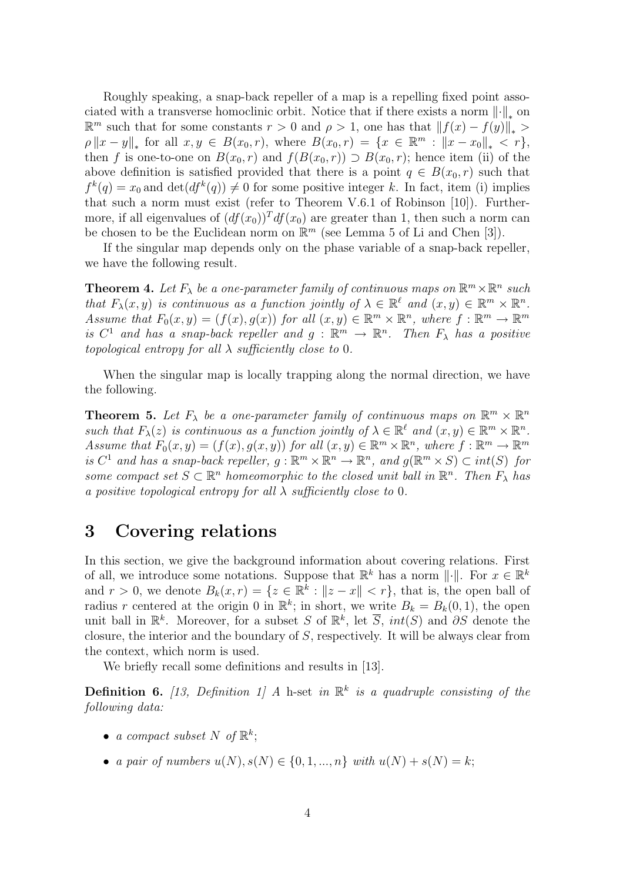Roughly speaking, a snap-back repeller of a map is a repelling fixed point associated with a transverse homoclinic orbit. Notice that if there exists a norm  $\lVert \cdot \rVert_*$  on  $\mathbb{R}^m$  such that for some constants  $r > 0$  and  $ρ > 1$ , one has that  $||f(x) - f(y)||_* >$  $\rho \|x - y\|_{*}$  for all  $x, y \in B(x_0, r)$ , where  $B(x_0, r) = \{x \in \mathbb{R}^m : ||x - x_0||_{*} < r\},$ then f is one-to-one on  $B(x_0, r)$  and  $f(B(x_0, r)) \supset B(x_0, r)$ ; hence item (ii) of the above definition is satisfied provided that there is a point  $q \in B(x_0, r)$  such that  $f^k(q) = x_0$  and  $\det(df^k(q)) \neq 0$  for some positive integer k. In fact, item (i) implies that such a norm must exist (refer to Theorem V.6.1 of Robinson [10]). Furthermore, if all eigenvalues of  $(df(x_0))<sup>T</sup> df(x_0)$  are greater than 1, then such a norm can be chosen to be the Euclidean norm on  $\mathbb{R}^m$  (see Lemma 5 of Li and Chen [3]).

If the singular map depends only on the phase variable of a snap-back repeller, we have the following result.

**Theorem 4.** Let  $F_{\lambda}$  be a one-parameter family of continuous maps on  $\mathbb{R}^m \times \mathbb{R}^n$  such that  $F_{\lambda}(x, y)$  is continuous as a function jointly of  $\lambda \in \mathbb{R}^{\ell}$  and  $(x, y) \in \mathbb{R}^{m} \times \mathbb{R}^{n}$ . Assume that  $F_0(x, y) = (f(x), g(x))$  for all  $(x, y) \in \mathbb{R}^m \times \mathbb{R}^n$ , where  $f : \mathbb{R}^m \to \mathbb{R}^m$ is  $C^1$  and has a snap-back repeller and  $g : \mathbb{R}^m \to \mathbb{R}^n$ . Then  $F_{\lambda}$  has a positive topological entropy for all  $\lambda$  sufficiently close to 0.

When the singular map is locally trapping along the normal direction, we have the following.

**Theorem 5.** Let  $F_{\lambda}$  be a one-parameter family of continuous maps on  $\mathbb{R}^m \times \mathbb{R}^n$ such that  $F_{\lambda}(z)$  is continuous as a function jointly of  $\lambda \in \mathbb{R}^{\ell}$  and  $(x, y) \in \mathbb{R}^{m} \times \mathbb{R}^{n}$ . Assume that  $F_0(x, y) = (f(x), g(x, y))$  for all  $(x, y) \in \mathbb{R}^m \times \mathbb{R}^n$ , where  $f : \mathbb{R}^m \to \mathbb{R}^m$ is  $C^1$  and has a snap-back repeller,  $g : \mathbb{R}^m \times \mathbb{R}^n \to \mathbb{R}^n$ , and  $g(\mathbb{R}^m \times S) \subset int(S)$  for some compact set  $S \subset \mathbb{R}^n$  homeomorphic to the closed unit ball in  $\mathbb{R}^n$ . Then  $F_{\lambda}$  has a positive topological entropy for all  $\lambda$  sufficiently close to 0.

### 3 Covering relations

In this section, we give the background information about covering relations. First of all, we introduce some notations. Suppose that  $\mathbb{R}^k$  has a norm  $\|\cdot\|$ . For  $x \in \mathbb{R}^k$ and  $r > 0$ , we denote  $B_k(x, r) = \{z \in \mathbb{R}^k : ||z - x|| < r\}$ , that is, the open ball of radius r centered at the origin 0 in  $\mathbb{R}^k$ ; in short, we write  $B_k = B_k(0,1)$ , the open unit ball in  $\mathbb{R}^k$ . Moreover, for a subset S of  $\mathbb{R}^k$ , let  $\overline{S}$ ,  $int(S)$  and  $\partial S$  denote the closure, the interior and the boundary of S, respectively. It will be always clear from the context, which norm is used.

We briefly recall some definitions and results in [13].

**Definition 6.** [13, Definition 1] A h-set in  $\mathbb{R}^k$  is a quadruple consisting of the following data:

- a compact subset N of  $\mathbb{R}^k$ ;
- a pair of numbers  $u(N), s(N) \in \{0, 1, ..., n\}$  with  $u(N) + s(N) = k$ ;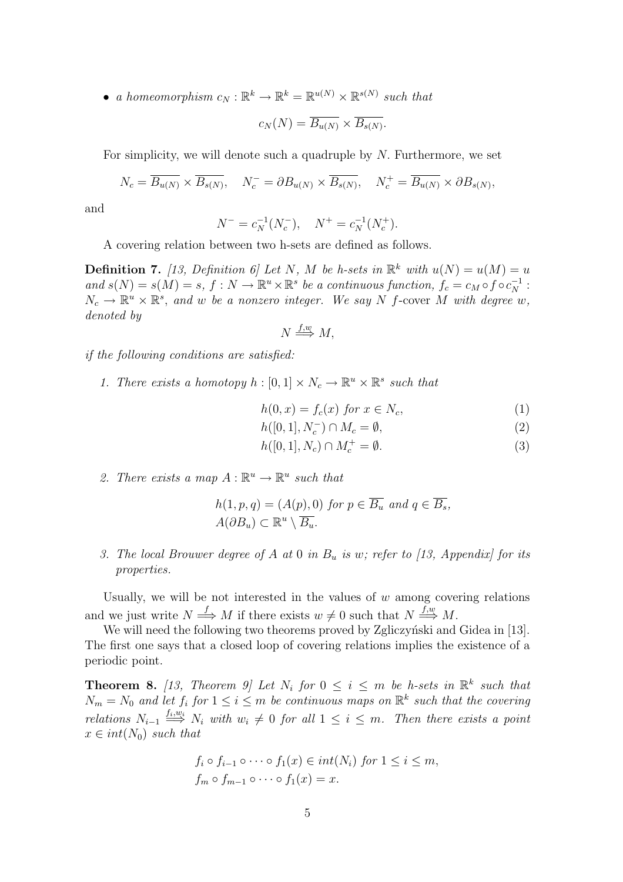• a homeomorphism  $c_N : \mathbb{R}^k \to \mathbb{R}^k = \mathbb{R}^{u(N)} \times \mathbb{R}^{s(N)}$  such that

$$
c_N(N) = \overline{B_{u(N)}} \times \overline{B_{s(N)}}.
$$

For simplicity, we will denote such a quadruple by N. Furthermore, we set

$$
N_c = \overline{B_{u(N)}} \times \overline{B_{s(N)}}, \quad N_c^- = \partial B_{u(N)} \times \overline{B_{s(N)}}, \quad N_c^+ = \overline{B_{u(N)}} \times \partial B_{s(N)},
$$

and

$$
N^- = c_N^{-1}(N_c^-), \quad N^+ = c_N^{-1}(N_c^+).
$$

A covering relation between two h-sets are defined as follows.

**Definition 7.** [13, Definition 6] Let N, M be h-sets in  $\mathbb{R}^k$  with  $u(N) = u(M) = u$ and  $s(N) = s(M) = s$ ,  $f: N \to \mathbb{R}^u \times \mathbb{R}^s$  be a continuous function,  $f_c = c_M \circ f \circ c_N^{-1}$ :  $N_c \to \mathbb{R}^u \times \mathbb{R}^s$ , and w be a nonzero integer. We say N f-cover M with degree w, denoted by

$$
N \stackrel{f,w}{\Longrightarrow} M,
$$

if the following conditions are satisfied:

1. There exists a homotopy  $h : [0,1] \times N_c \to \mathbb{R}^u \times \mathbb{R}^s$  such that

$$
h(0, x) = f_c(x) \text{ for } x \in N_c,
$$
\n<sup>(1)</sup>

$$
h([0,1], N_c^-) \cap M_c = \emptyset,
$$
\n<sup>(2)</sup>

- $h([0, 1], N_c) \cap M_c^+ = \emptyset.$  (3)
- 2. There exists a map  $A: \mathbb{R}^u \to \mathbb{R}^u$  such that

$$
h(1, p, q) = (A(p), 0) \text{ for } p \in \overline{B_u} \text{ and } q \in \overline{B_s},
$$
  

$$
A(\partial B_u) \subset \mathbb{R}^u \setminus \overline{B_u}.
$$

3. The local Brouwer degree of A at 0 in  $B_u$  is w; refer to [13, Appendix] for its properties.

Usually, we will be not interested in the values of  $w$  among covering relations and we just write  $N \stackrel{f}{\Longrightarrow} M$  if there exists  $w \neq 0$  such that  $N \stackrel{f,w}{\Longrightarrow} M$ .

We will need the following two theorems proved by Zgliczyński and Gidea in [13]. The first one says that a closed loop of covering relations implies the existence of a periodic point.

**Theorem 8.** [13, Theorem 9] Let  $N_i$  for  $0 \leq i \leq m$  be h-sets in  $\mathbb{R}^k$  such that  $N_m = N_0$  and let  $f_i$  for  $1 \leq i \leq m$  be continuous maps on  $\mathbb{R}^k$  such that the covering relations  $N_{i-1} \stackrel{f_i, w_i}{\Longrightarrow} N_i$  with  $w_i \neq 0$  for all  $1 \leq i \leq m$ . Then there exists a point  $x \in int(N_0)$  such that

$$
f_i \circ f_{i-1} \circ \cdots \circ f_1(x) \in int(N_i) \text{ for } 1 \le i \le m,
$$
  

$$
f_m \circ f_{m-1} \circ \cdots \circ f_1(x) = x.
$$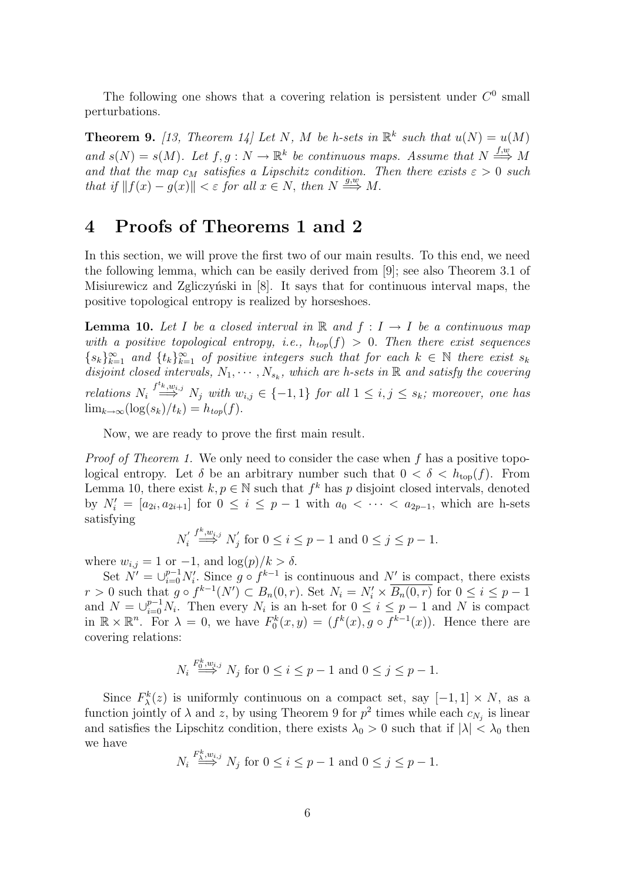The following one shows that a covering relation is persistent under  $C^0$  small perturbations.

**Theorem 9.** [13, Theorem 14] Let N, M be h-sets in  $\mathbb{R}^k$  such that  $u(N) = u(M)$ and  $s(N) = s(M)$ . Let  $f, g: N \to \mathbb{R}^k$  be continuous maps. Assume that  $N \stackrel{f,w}{\Longrightarrow} M$ and that the map  $c_M$  satisfies a Lipschitz condition. Then there exists  $\varepsilon > 0$  such that if  $||f(x) - g(x)|| < \varepsilon$  for all  $x \in N$ , then  $N \stackrel{g,w}{\Longrightarrow} M$ .

### 4 Proofs of Theorems 1 and 2

In this section, we will prove the first two of our main results. To this end, we need the following lemma, which can be easily derived from [9]; see also Theorem 3.1 of Misiurewicz and Zgliczyński in  $[8]$ . It says that for continuous interval maps, the positive topological entropy is realized by horseshoes.

**Lemma 10.** Let I be a closed interval in R and  $f: I \rightarrow I$  be a continuous map with a positive topological entropy, i.e.,  $h_{top}(f) > 0$ . Then there exist sequences  ${s_k}_{k=1}^{\infty}$  and  ${t_k}_{k=1}^{\infty}$  of positive integers such that for each  $k \in \mathbb{N}$  there exist  $s_k$ disjoint closed intervals,  $N_1, \cdots, N_{s_k}$ , which are h-sets in  $\mathbb R$  and satisfy the covering relations  $N_i \stackrel{f^{t_k}, w_{i,j}}{\Longrightarrow} N_j$  with  $w_{i,j} \in \{-1,1\}$  for all  $1 \leq i,j \leq s_k$ ; moreover, one has  $\lim_{k\to\infty} (\log(s_k)/t_k) = h_{top}(f).$ 

Now, we are ready to prove the first main result.

*Proof of Theorem 1.* We only need to consider the case when  $f$  has a positive topological entropy. Let  $\delta$  be an arbitrary number such that  $0 < \delta < h_{\text{top}}(f)$ . From Lemma 10, there exist  $k, p \in \mathbb{N}$  such that  $f^k$  has p disjoint closed intervals, denoted by  $N'_i = [a_{2i}, a_{2i+1}]$  for  $0 \le i \le p-1$  with  $a_0 < \cdots < a_{2p-1}$ , which are h-sets satisfying

$$
N_i' \stackrel{f^k, w_{i,j}}{\Longrightarrow} N_j' \text{ for } 0 \le i \le p-1 \text{ and } 0 \le j \le p-1.
$$

where  $w_{i,j} = 1$  or  $-1$ , and  $\log(p)/k > \delta$ .

Set  $\tilde{N'} = \bigcup_{i=0}^{p-1} N'_i$ . Since  $g \circ f^{k-1}$  is continuous and  $N'$  is compact, there exists  $r > 0$  such that  $g \circ f^{k-1}(N') \subset B_n(0,r)$ . Set  $N_i = N'_i \times \overline{B_n(0,r)}$  for  $0 \le i \le p-1$ and  $N = \bigcup_{i=0}^{p-1} N_i$ . Then every  $N_i$  is an h-set for  $0 \le i \le p-1$  and N is compact in  $\mathbb{R} \times \mathbb{R}^n$ . For  $\lambda = 0$ , we have  $F_0^k(x, y) = (f^k(x), g \circ f^{k-1}(x))$ . Hence there are covering relations:

$$
N_i \stackrel{F_0^k, w_{i,j}}{\Longrightarrow} N_j \text{ for } 0 \le i \le p-1 \text{ and } 0 \le j \le p-1.
$$

Since  $F_{\lambda}^{k}(z)$  is uniformly continuous on a compact set, say  $[-1,1] \times N$ , as a function jointly of  $\lambda$  and z, by using Theorem 9 for  $p^2$  times while each  $c_{N_j}$  is linear and satisfies the Lipschitz condition, there exists  $\lambda_0 > 0$  such that if  $|\lambda| < \lambda_0$  then we have

$$
N_i \stackrel{F_{\lambda}^k, w_{i,j}}{\Longrightarrow} N_j \text{ for } 0 \le i \le p-1 \text{ and } 0 \le j \le p-1.
$$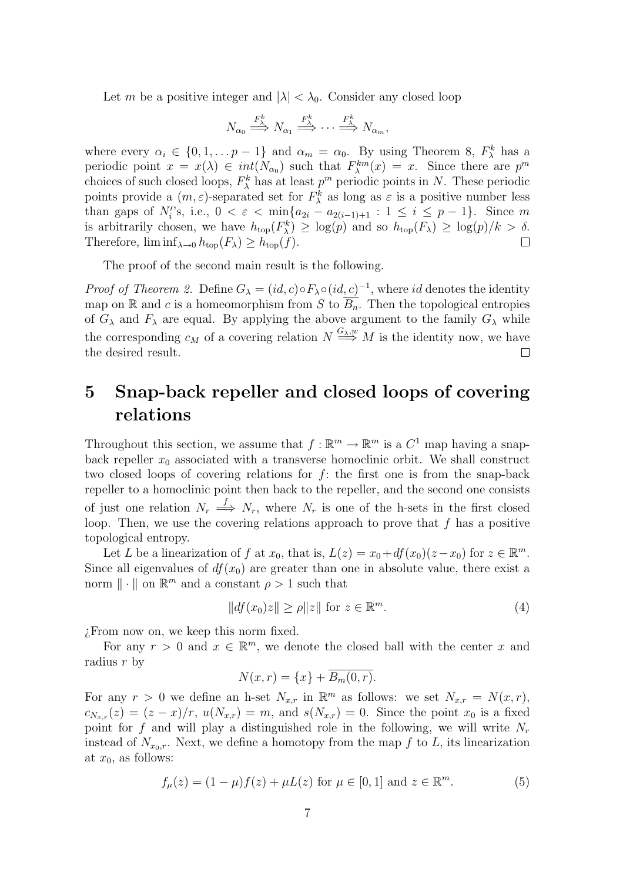Let m be a positive integer and  $|\lambda| < \lambda_0$ . Consider any closed loop

$$
N_{\alpha_0} \stackrel{F^k_{\lambda}}{\longrightarrow} N_{\alpha_1} \stackrel{F^k_{\lambda}}{\longrightarrow} \cdots \stackrel{F^k_{\lambda}}{\longrightarrow} N_{\alpha_m},
$$

where every  $\alpha_i \in \{0, 1, \dots p-1\}$  and  $\alpha_m = \alpha_0$ . By using Theorem 8,  $F_{\lambda}^k$  has a periodic point  $x = x(\lambda) \in int(N_{\alpha_0})$  such that  $F_{\lambda}^{km}(x) = x$ . Since there are  $p^m$ choices of such closed loops,  $F_{\lambda}^{k}$  has at least  $p^{m}$  periodic points in N. These periodic points provide a  $(m, \varepsilon)$ -separated set for  $F_{\lambda}^{k}$  as long as  $\varepsilon$  is a positive number less than gaps of  $N_i$ 's, i.e.,  $0 < \varepsilon < \min\{a_{2i} - a_{2(i-1)+1} : 1 \le i \le p-1\}$ . Since m is arbitrarily chosen, we have  $h_{\text{top}}(F_{\lambda}^k) \geq \log(p)$  and so  $h_{\text{top}}(F_{\lambda}) \geq \log(p)/k > \delta$ . Therefore,  $\liminf_{\lambda\to 0} h_{top}(F_{\lambda}) \geq h_{top}(f)$ .  $\Box$ 

The proof of the second main result is the following.

*Proof of Theorem 2.* Define  $G_{\lambda} = (id, c) \circ F_{\lambda} \circ (id, c)^{-1}$ , where id denotes the identity map on R and c is a homeomorphism from S to  $\overline{B_n}$ . Then the topological entropies of  $G_{\lambda}$  and  $F_{\lambda}$  are equal. By applying the above argument to the family  $G_{\lambda}$  while the corresponding  $c_M$  of a covering relation  $N \stackrel{G_\lambda,w}{\Longrightarrow} M$  is the identity now, we have the desired result.  $\Box$ 

## 5 Snap-back repeller and closed loops of covering relations

Throughout this section, we assume that  $f : \mathbb{R}^m \to \mathbb{R}^m$  is a  $C^1$  map having a snapback repeller  $x_0$  associated with a transverse homoclinic orbit. We shall construct two closed loops of covering relations for  $f$ : the first one is from the snap-back repeller to a homoclinic point then back to the repeller, and the second one consists of just one relation  $N_r \stackrel{f}{\Longrightarrow} N_r$ , where  $N_r$  is one of the h-sets in the first closed loop. Then, we use the covering relations approach to prove that  $f$  has a positive topological entropy.

Let L be a linearization of f at  $x_0$ , that is,  $L(z) = x_0 + df(x_0)(z - x_0)$  for  $z \in \mathbb{R}^m$ . Since all eigenvalues of  $df(x_0)$  are greater than one in absolute value, there exist a norm  $\|\cdot\|$  on  $\mathbb{R}^m$  and a constant  $\rho > 1$  such that

$$
||df(x_0)z|| \ge \rho ||z|| \text{ for } z \in \mathbb{R}^m. \tag{4}
$$

¿From now on, we keep this norm fixed.

For any  $r > 0$  and  $x \in \mathbb{R}^m$ , we denote the closed ball with the center x and radius r by

$$
N(x,r) = \{x\} + B_m(0,r).
$$

For any  $r > 0$  we define an h-set  $N_{x,r}$  in  $\mathbb{R}^m$  as follows: we set  $N_{x,r} = N(x,r)$ ,  $c_{N_{x,r}}(z) = (z-x)/r$ ,  $u(N_{x,r}) = m$ , and  $s(N_{x,r}) = 0$ . Since the point  $x_0$  is a fixed point for f and will play a distinguished role in the following, we will write  $N_r$ instead of  $N_{x_0,r}$ . Next, we define a homotopy from the map f to L, its linearization at  $x_0$ , as follows:

$$
f_{\mu}(z) = (1 - \mu)f(z) + \mu L(z) \text{ for } \mu \in [0, 1] \text{ and } z \in \mathbb{R}^{m}.
$$
 (5)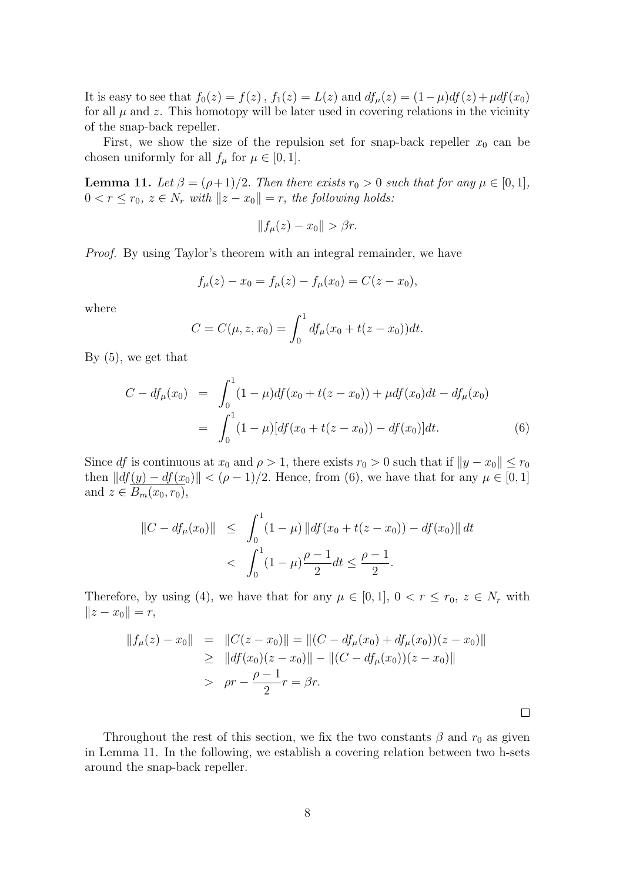It is easy to see that  $f_0(z) = f(z)$ ,  $f_1(z) = L(z)$  and  $df_\mu(z) = (1-\mu)df(z) + \mu df(x_0)$ for all  $\mu$  and z. This homotopy will be later used in covering relations in the vicinity of the snap-back repeller.

First, we show the size of the repulsion set for snap-back repeller  $x_0$  can be chosen uniformly for all  $f_{\mu}$  for  $\mu \in [0, 1]$ .

**Lemma 11.** Let  $\beta = (\rho+1)/2$ . Then there exists  $r_0 > 0$  such that for any  $\mu \in [0,1]$ ,  $0 < r \leq r_0, z \in N_r$  with  $||z - x_0|| = r$ , the following holds:

$$
||f_{\mu}(z) - x_0|| > \beta r.
$$

Proof. By using Taylor's theorem with an integral remainder, we have

$$
f_{\mu}(z) - x_0 = f_{\mu}(z) - f_{\mu}(x_0) = C(z - x_0),
$$

where

$$
C = C(\mu, z, x_0) = \int_0^1 df_\mu(x_0 + t(z - x_0)) dt.
$$

By (5), we get that

$$
C - df_{\mu}(x_0) = \int_0^1 (1 - \mu) df(x_0 + t(z - x_0)) + \mu df(x_0) dt - df_{\mu}(x_0)
$$
  
= 
$$
\int_0^1 (1 - \mu) [df(x_0 + t(z - x_0)) - df(x_0)] dt.
$$
 (6)

Since df is continuous at  $x_0$  and  $\rho > 1$ , there exists  $r_0 > 0$  such that if  $||y - x_0|| \le r_0$ then  $||df(y) - df(x_0)|| < (\rho - 1)/2$ . Hence, from (6), we have that for any  $\mu \in [0, 1]$ and  $z \in \overline{B_m(x_0, r_0)},$ 

$$
||C - df_{\mu}(x_0)|| \leq \int_0^1 (1 - \mu) ||df(x_0 + t(z - x_0)) - df(x_0)|| dt
$$
  
< 
$$
< \int_0^1 (1 - \mu) \frac{\rho - 1}{2} dt \leq \frac{\rho - 1}{2}.
$$

Therefore, by using (4), we have that for any  $\mu \in [0,1], 0 < r \le r_0, z \in N_r$  with  $||z - x_0|| = r,$ 

$$
||f_{\mu}(z) - x_0|| = ||C(z - x_0)|| = ||(C - df_{\mu}(x_0) + df_{\mu}(x_0))(z - x_0)||
$$
  
\n
$$
\geq ||df(x_0)(z - x_0)|| - ||(C - df_{\mu}(x_0))(z - x_0)||
$$
  
\n
$$
> \rho r - \frac{\rho - 1}{2}r = \beta r.
$$

 $\Box$ 

Throughout the rest of this section, we fix the two constants  $\beta$  and  $r_0$  as given in Lemma 11. In the following, we establish a covering relation between two h-sets around the snap-back repeller.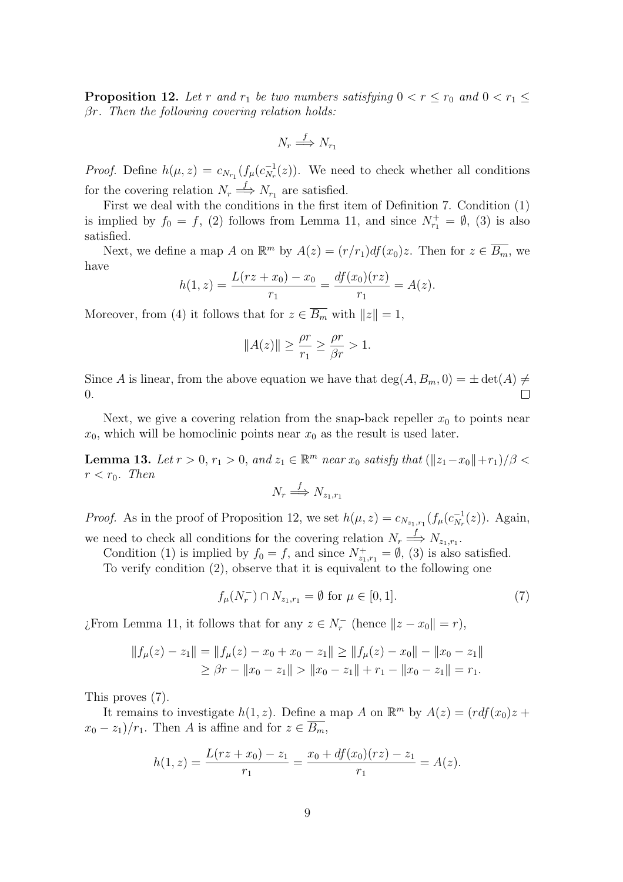**Proposition 12.** Let r and  $r_1$  be two numbers satisfying  $0 < r \leq r_0$  and  $0 < r_1 \leq r_1$ βr. Then the following covering relation holds:

$$
N_r \stackrel{f}{\Longrightarrow} N_{r_1}
$$

*Proof.* Define  $h(\mu, z) = c_{N_{r_1}}(f_{\mu}(c_{N_r}^{-1}))$  $\overline{N_r}^{-1}(z)$ . We need to check whether all conditions for the covering relation  $N_r \stackrel{f}{\Longrightarrow} N_{r_1}$  are satisfied.

First we deal with the conditions in the first item of Definition 7. Condition (1) is implied by  $f_0 = f$ , (2) follows from Lemma 11, and since  $N_{r_1}^+ = \emptyset$ , (3) is also satisfied.

Next, we define a map A on  $\mathbb{R}^m$  by  $A(z) = (r/r_1)df(x_0)z$ . Then for  $z \in \overline{B_m}$ , we have

$$
h(1, z) = \frac{L(rz + x_0) - x_0}{r_1} = \frac{df(x_0)(rz)}{r_1} = A(z).
$$

Moreover, from (4) it follows that for  $z \in \overline{B_m}$  with  $||z|| = 1$ ,

$$
||A(z)|| \ge \frac{\rho r}{r_1} \ge \frac{\rho r}{\beta r} > 1.
$$

Since A is linear, from the above equation we have that  $deg(A, B_m, 0) = \pm det(A) \neq$ 0.

Next, we give a covering relation from the snap-back repeller  $x_0$  to points near  $x_0$ , which will be homoclinic points near  $x_0$  as the result is used later.

**Lemma 13.** Let  $r > 0$ ,  $r_1 > 0$ , and  $z_1 \in \mathbb{R}^m$  near  $x_0$  satisfy that  $(\Vert z_1-x_0 \Vert + r_1)/\beta <$  $r < r_0$ . Then

$$
N_r \stackrel{f}{\Longrightarrow} N_{z_1,r_1}
$$

*Proof.* As in the proof of Proposition 12, we set  $h(\mu, z) = c_{N_{z_1, r_1}}(f_{\mu}(c_{N_r}^{-1}))$  $\overline{N_r}^{-1}(z)$ ). Again, we need to check all conditions for the covering relation  $N_r \stackrel{f}{\Longrightarrow} N_{z_1,r_1}$ .

Condition (1) is implied by  $f_0 = f$ , and since  $N^+_{z_1,r_1} = \emptyset$ , (3) is also satisfied.

To verify condition (2), observe that it is equivalent to the following one

$$
f_{\mu}(N_r^-) \cap N_{z_1, r_1} = \emptyset \text{ for } \mu \in [0, 1].
$$
 (7)

¿From Lemma 11, it follows that for any  $z \in N_r^-$  (hence  $||z - x_0|| = r$ ),

$$
||f_{\mu}(z) - z_1|| = ||f_{\mu}(z) - x_0 + x_0 - z_1|| \ge ||f_{\mu}(z) - x_0|| - ||x_0 - z_1||
$$
  
\n
$$
\ge \beta r - ||x_0 - z_1|| > ||x_0 - z_1|| + r_1 - ||x_0 - z_1|| = r_1.
$$

This proves (7).

It remains to investigate  $h(1, z)$ . Define a map A on  $\mathbb{R}^m$  by  $A(z) = (r df(x_0)z +$  $x_0 - z_1$ / $r_1$ . Then A is affine and for  $z \in \overline{B_m}$ ,

$$
h(1, z) = \frac{L(rz + x_0) - z_1}{r_1} = \frac{x_0 + df(x_0)(rz) - z_1}{r_1} = A(z).
$$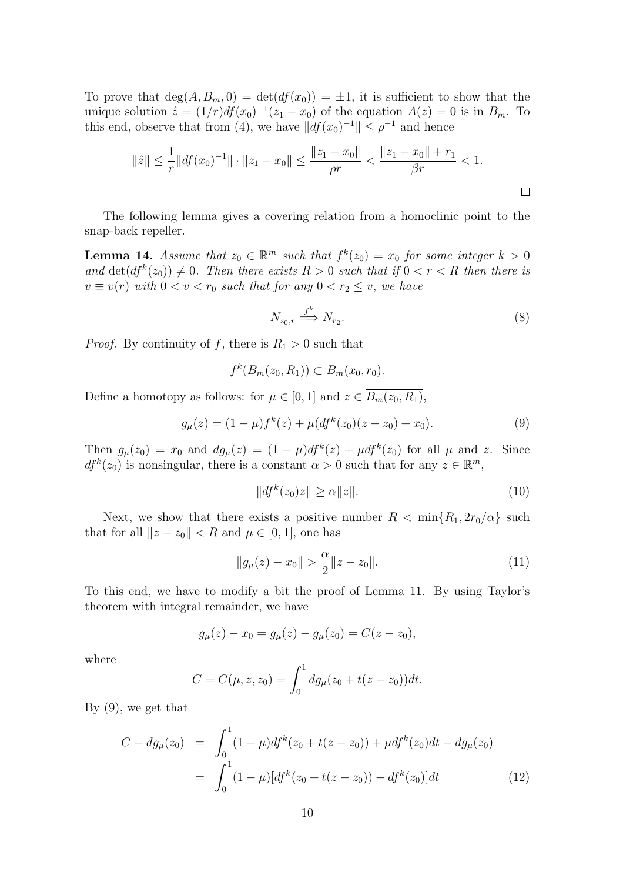To prove that  $deg(A, B_m, 0) = det(df(x_0)) = \pm 1$ , it is sufficient to show that the unique solution  $\hat{z} = (1/r)df(x_0)^{-1}(z_1 - x_0)$  of the equation  $A(z) = 0$  is in  $B_m$ . To this end, observe that from (4), we have  $||df(x_0)^{-1}|| \leq \rho^{-1}$  and hence

$$
\|\hat{z}\| \le \frac{1}{r} \|df(x_0)^{-1}\| \cdot \|z_1 - x_0\| \le \frac{\|z_1 - x_0\|}{\rho r} < \frac{\|z_1 - x_0\| + r_1}{\beta r} < 1.
$$

The following lemma gives a covering relation from a homoclinic point to the snap-back repeller.

**Lemma 14.** Assume that  $z_0 \in \mathbb{R}^m$  such that  $f^k(z_0) = x_0$  for some integer  $k > 0$ and  $\det(df^k(z_0)) \neq 0$ . Then there exists  $R > 0$  such that if  $0 < r < R$  then there is  $v \equiv v(r)$  with  $0 < v < r_0$  such that for any  $0 < r_2 \le v$ , we have

$$
N_{z_0,r} \stackrel{f^k}{\Longrightarrow} N_{r_2}.\tag{8}
$$

*Proof.* By continuity of f, there is  $R_1 > 0$  such that

$$
f^k(\overline{B_m(z_0,R_1)}) \subset B_m(x_0,r_0).
$$

Define a homotopy as follows: for  $\mu \in [0, 1]$  and  $z \in \overline{B_m(z_0, R_1)}$ ,

$$
g_{\mu}(z) = (1 - \mu)f^{k}(z) + \mu(df^{k}(z_{0})(z - z_{0}) + x_{0}).
$$
\n(9)

Then  $g_{\mu}(z_0) = x_0$  and  $dg_{\mu}(z) = (1 - \mu)df^{k}(z) + \mu df^{k}(z_0)$  for all  $\mu$  and z. Since  $df^{k}(z_{0})$  is nonsingular, there is a constant  $\alpha > 0$  such that for any  $z \in \mathbb{R}^{m}$ ,

$$
||df^{k}(z_{0})z|| \geq \alpha ||z||. \tag{10}
$$

Next, we show that there exists a positive number  $R < \min\{R_1, 2r_0/\alpha\}$  such that for all  $||z - z_0|| < R$  and  $\mu \in [0, 1]$ , one has

$$
||g_{\mu}(z) - x_0|| > \frac{\alpha}{2} ||z - z_0||. \tag{11}
$$

To this end, we have to modify a bit the proof of Lemma 11. By using Taylor's theorem with integral remainder, we have

$$
g_{\mu}(z) - x_0 = g_{\mu}(z) - g_{\mu}(z_0) = C(z - z_0),
$$

where

$$
C = C(\mu, z, z_0) = \int_0^1 dg_\mu(z_0 + t(z - z_0))dt.
$$

By (9), we get that

$$
C - dg_{\mu}(z_0) = \int_0^1 (1 - \mu) df^k(z_0 + t(z - z_0)) + \mu df^k(z_0) dt - dg_{\mu}(z_0)
$$
  
= 
$$
\int_0^1 (1 - \mu) [df^k(z_0 + t(z - z_0)) - df^k(z_0)] dt
$$
 (12)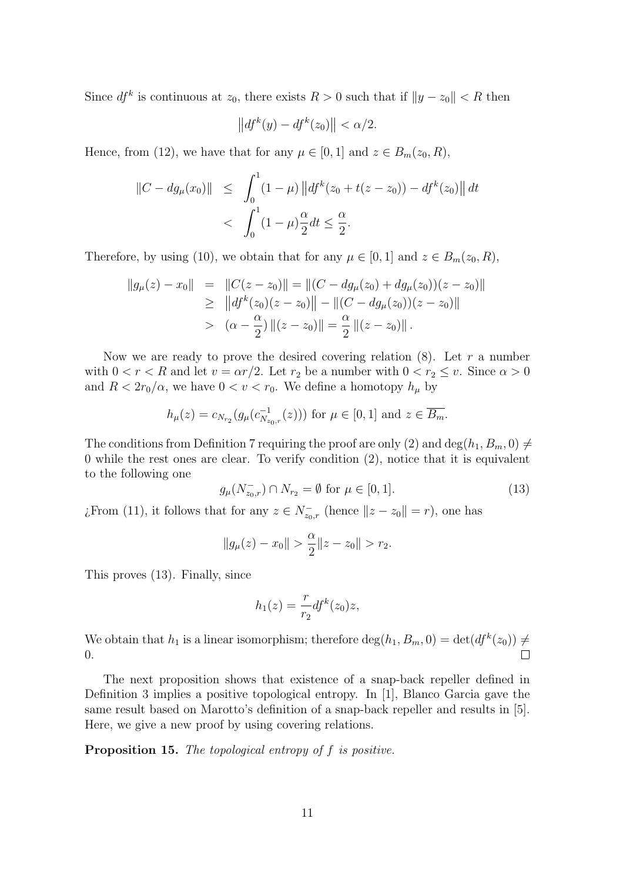Since  $df^k$  is continuous at  $z_0$ , there exists  $R > 0$  such that if  $||y - z_0|| < R$  then

$$
\left\|df^k(y) - df^k(z_0)\right\| < \alpha/2.
$$

Hence, from (12), we have that for any  $\mu \in [0, 1]$  and  $z \in B_m(z_0, R)$ ,

$$
||C - dg_{\mu}(x_0)|| \leq \int_0^1 (1 - \mu) ||df^k(z_0 + t(z - z_0)) - df^k(z_0)|| dt
$$
  
< 
$$
< \int_0^1 (1 - \mu) \frac{\alpha}{2} dt \leq \frac{\alpha}{2}.
$$

Therefore, by using (10), we obtain that for any  $\mu \in [0, 1]$  and  $z \in B_m(z_0, R)$ ,

$$
\|g_{\mu}(z) - x_0\| = \|C(z - z_0)\| = \|(C - dg_{\mu}(z_0) + dg_{\mu}(z_0))(z - z_0)\|
$$
  
\n
$$
\geq \|df^k(z_0)(z - z_0)\| - \|(C - dg_{\mu}(z_0))(z - z_0)\|
$$
  
\n
$$
> (\alpha - \frac{\alpha}{2}) \|(z - z_0)\| = \frac{\alpha}{2} \|(z - z_0)\|.
$$

Now we are ready to prove the desired covering relation  $(8)$ . Let r a number with  $0 < r < R$  and let  $v = \alpha r/2$ . Let  $r_2$  be a number with  $0 < r_2 \le v$ . Since  $\alpha > 0$ and  $R < 2r_0/\alpha$ , we have  $0 < v < r_0$ . We define a homotopy  $h_\mu$  by

$$
h_{\mu}(z) = c_{N_{r_2}}(g_{\mu}(c_{N_{z_0,r}}^{-1}(z)))
$$
 for  $\mu \in [0,1]$  and  $z \in \overline{B_m}$ .

The conditions from Definition 7 requiring the proof are only (2) and deg( $h_1, B_m, 0) \neq$ 0 while the rest ones are clear. To verify condition (2), notice that it is equivalent to the following one

$$
g_{\mu}(N_{z_0,r}^-) \cap N_{r_2} = \emptyset \text{ for } \mu \in [0,1].
$$
 (13)

¿From (11), it follows that for any  $z \in N_{z_0,r}^-$  (hence  $||z - z_0|| = r$ ), one has

$$
||g_{\mu}(z) - x_0|| > \frac{\alpha}{2} ||z - z_0|| > r_2.
$$

This proves (13). Finally, since

$$
h_1(z) = \frac{r}{r_2} df^k(z_0) z,
$$

We obtain that  $h_1$  is a linear isomorphism; therefore  $\deg(h_1, B_m, 0) = \det(df^k(z_0)) \neq 0$ 0.

The next proposition shows that existence of a snap-back repeller defined in Definition 3 implies a positive topological entropy. In [1], Blanco Garcia gave the same result based on Marotto's definition of a snap-back repeller and results in [5]. Here, we give a new proof by using covering relations.

Proposition 15. The topological entropy of f is positive.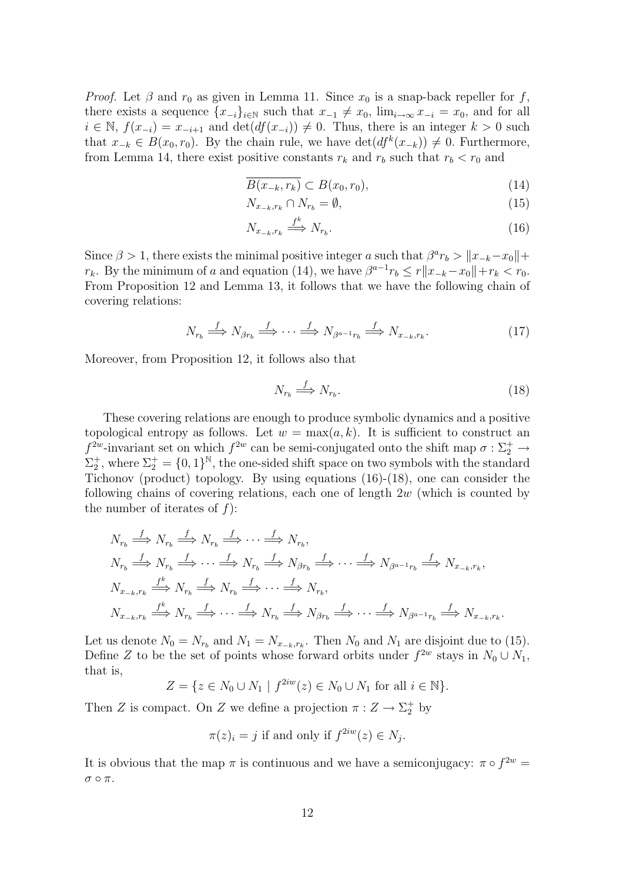*Proof.* Let  $\beta$  and  $r_0$  as given in Lemma 11. Since  $x_0$  is a snap-back repeller for f, there exists a sequence  $\{x_{-i}\}_{i\in\mathbb{N}}$  such that  $x_{-1} \neq x_0$ ,  $\lim_{i\to\infty} x_{-i} = x_0$ , and for all  $i \in \mathbb{N}, f(x_{-i}) = x_{-i+1}$  and  $\det(df(x_{-i})) \neq 0$ . Thus, there is an integer  $k > 0$  such that  $x_{-k} \in B(x_0, r_0)$ . By the chain rule, we have  $\det(df^k(x_{-k})) \neq 0$ . Furthermore, from Lemma 14, there exist positive constants  $r_k$  and  $r_b$  such that  $r_b < r_0$  and

$$
\overline{B(x_{-k}, r_k)} \subset B(x_0, r_0),\tag{14}
$$

$$
N_{x_{-k},r_k} \cap N_{r_b} = \emptyset,\tag{15}
$$

$$
N_{x_{-k},r_k} \stackrel{f^k}{\Longrightarrow} N_{r_b}.\tag{16}
$$

Since  $\beta > 1$ , there exists the minimal positive integer a such that  $\beta^a r_b > ||x_{-k} - x_0|| +$  $r_k$ . By the minimum of a and equation (14), we have  $\beta^{a-1}r_b \leq r||x_{-k}-x_0||+r_k < r_0$ . From Proposition 12 and Lemma 13, it follows that we have the following chain of covering relations:

$$
N_{r_b} \stackrel{f}{\Longrightarrow} N_{\beta r_b} \stackrel{f}{\Longrightarrow} \cdots \stackrel{f}{\Longrightarrow} N_{\beta^{a-1}r_b} \stackrel{f}{\Longrightarrow} N_{x_{-k},r_k}.\tag{17}
$$

Moreover, from Proposition 12, it follows also that

$$
N_{r_b} \stackrel{f}{\Longrightarrow} N_{r_b}.\tag{18}
$$

These covering relations are enough to produce symbolic dynamics and a positive topological entropy as follows. Let  $w = \max(a, k)$ . It is sufficient to construct an  $f^{2w}$ -invariant set on which  $f^{2w}$  can be semi-conjugated onto the shift map  $\sigma : \Sigma_2^+ \to$  $\Sigma_2^+$ , where  $\Sigma_2^+ = \{0,1\}^{\mathbb{N}}$ , the one-sided shift space on two symbols with the standard Tichonov (product) topology. By using equations (16)-(18), one can consider the following chains of covering relations, each one of length  $2w$  (which is counted by the number of iterates of  $f$ :

$$
N_{r_b} \stackrel{f}{\Longrightarrow} N_{r_b} \stackrel{f}{\Longrightarrow} N_{r_b} \stackrel{f}{\Longrightarrow} \cdots \stackrel{f}{\Longrightarrow} N_{r_b},
$$
  
\n
$$
N_{r_b} \stackrel{f}{\Longrightarrow} N_{r_b} \stackrel{f}{\Longrightarrow} \cdots \stackrel{f}{\Longrightarrow} N_{r_b} \stackrel{f}{\Longrightarrow} N_{\beta r_b} \stackrel{f}{\Longrightarrow} \cdots \stackrel{f}{\Longrightarrow} N_{\beta^{a-1}r_b} \stackrel{f}{\Longrightarrow} N_{x_{-k},r_k},
$$
  
\n
$$
N_{x_{-k},r_k} \stackrel{f^k}{\Longrightarrow} N_{r_b} \stackrel{f}{\Longrightarrow} N_{r_b} \stackrel{f}{\Longrightarrow} \cdots \stackrel{f}{\Longrightarrow} N_{r_b},
$$
  
\n
$$
N_{x_{-k},r_k} \stackrel{f^k}{\Longrightarrow} N_{r_b} \stackrel{f}{\Longrightarrow} \cdots \stackrel{f}{\Longrightarrow} N_{r_b} \stackrel{f}{\Longrightarrow} N_{\beta r_b} \stackrel{f}{\Longrightarrow} \cdots \stackrel{f}{\Longrightarrow} N_{\beta^{a-1}r_b} \stackrel{f}{\Longrightarrow} N_{x_{-k},r_k}.
$$

Let us denote  $N_0 = N_{r_b}$  and  $N_1 = N_{x_{-k},r_k}$ . Then  $N_0$  and  $N_1$  are disjoint due to (15). Define Z to be the set of points whose forward orbits under  $f^{2w}$  stays in  $N_0 \cup N_1$ , that is,

$$
Z = \{ z \in N_0 \cup N_1 \mid f^{2iw}(z) \in N_0 \cup N_1 \text{ for all } i \in \mathbb{N} \}.
$$

Then Z is compact. On Z we define a projection  $\pi: Z \to \Sigma_2^+$  by

$$
\pi(z)_i = j
$$
 if and only if  $f^{2iw}(z) \in N_j$ .

It is obvious that the map  $\pi$  is continuous and we have a semiconjugacy:  $\pi \circ f^{2w} =$  $\sigma \circ \pi$ .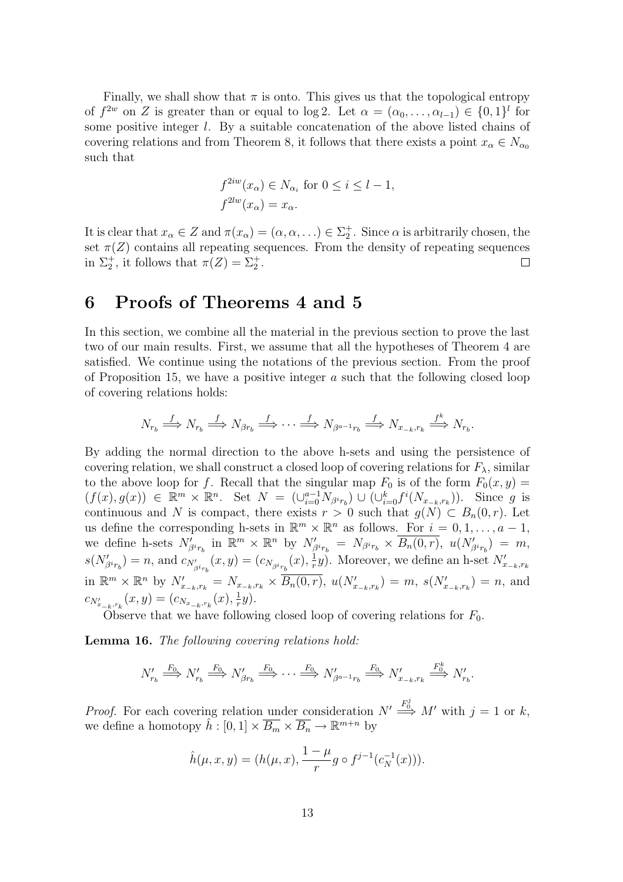Finally, we shall show that  $\pi$  is onto. This gives us that the topological entropy of  $f^{2w}$  on Z is greater than or equal to log 2. Let  $\alpha = (\alpha_0, \ldots, \alpha_{l-1}) \in \{0,1\}^l$  for some positive integer  $l$ . By a suitable concatenation of the above listed chains of covering relations and from Theorem 8, it follows that there exists a point  $x_{\alpha} \in N_{\alpha_0}$ such that

$$
f^{2iw}(x_{\alpha}) \in N_{\alpha_i} \text{ for } 0 \le i \le l-1,
$$
  

$$
f^{2lw}(x_{\alpha}) = x_{\alpha}.
$$

It is clear that  $x_{\alpha} \in Z$  and  $\pi(x_{\alpha}) = (\alpha, \alpha, \ldots) \in \Sigma_2^+$ . Since  $\alpha$  is arbitrarily chosen, the set  $\pi(Z)$  contains all repeating sequences. From the density of repeating sequences in  $\Sigma_2^+$ , it follows that  $\pi(Z) = \Sigma_2^+$ . П

#### 6 Proofs of Theorems 4 and 5

In this section, we combine all the material in the previous section to prove the last two of our main results. First, we assume that all the hypotheses of Theorem 4 are satisfied. We continue using the notations of the previous section. From the proof of Proposition 15, we have a positive integer  $a$  such that the following closed loop of covering relations holds:

$$
N_{r_b} \stackrel{f}{\Longrightarrow} N_{r_b} \stackrel{f}{\Longrightarrow} N_{\beta r_b} \stackrel{f}{\Longrightarrow} \cdots \stackrel{f}{\Longrightarrow} N_{\beta^{a-1}r_b} \stackrel{f}{\Longrightarrow} N_{x_{-k},r_k} \stackrel{f^k}{\Longrightarrow} N_{r_b}.
$$

By adding the normal direction to the above h-sets and using the persistence of covering relation, we shall construct a closed loop of covering relations for  $F_{\lambda}$ , similar to the above loop for f. Recall that the singular map  $F_0$  is of the form  $F_0(x, y) =$  $(f(x), g(x)) \in \mathbb{R}^m \times \mathbb{R}^n$ . Set  $N = (\bigcup_{i=0}^{a-1} N_{\beta^i r_b}) \cup (\bigcup_{i=0}^k f^i(N_{x_{-k}, r_k})$ . Since g is continuous and N is compact, there exists  $r > 0$  such that  $q(N) \subset B_n(0,r)$ . Let us define the corresponding h-sets in  $\mathbb{R}^m \times \mathbb{R}^n$  as follows. For  $i = 0, 1, \ldots, a - 1$ , we define h-sets  $N'_{\beta^i r_b}$  in  $\mathbb{R}^m \times \mathbb{R}^n$  by  $N'_{\beta^i r_b} = N_{\beta^i r_b} \times \overline{B_n(0,r)}$ ,  $u(N'_{\beta^i r_b}) = m$ ,  $s(N'_{\beta i_{r_b}}) = n$ , and  $c_{N'_{\beta i_{r_b}}}(x, y) = (c_{N_{\beta i_{r_b}}}(x), \frac{1}{r})$  $\frac{1}{r}y$ ). Moreover, we define an h-set  $N'_{x_{-k},r_k}$ in  $\mathbb{R}^m \times \mathbb{R}^n$  by  $N'_{x_{-k},r_k} = N_{x_{-k},r_k} \times \overline{B_n(0,r)}, u(N'_{x_{-k},r_k}) = m, s(N'_{x_{-k},r_k}) = n$ , and  $c_{N'_{x_{-k},r_k}}(x,y) = (c_{N_{x_{-k},r_k}}(x), \frac{1}{r})$  $rac{1}{r}y).$ 

Observe that we have following closed loop of covering relations for  $F_0$ .

Lemma 16. The following covering relations hold:

$$
N'_{r_b} \stackrel{F_0}{\Longrightarrow} N'_{r_b} \stackrel{F_0}{\Longrightarrow} N'_{\beta r_b} \stackrel{F_0}{\Longrightarrow} \cdots \stackrel{F_0}{\Longrightarrow} N'_{\beta^{a-1}r_b} \stackrel{F_0}{\Longrightarrow} N'_{x_{-k},r_k} \stackrel{F_0^k}{\Longrightarrow} N'_{r_b}.
$$

*Proof.* For each covering relation under consideration  $N' \stackrel{F_0^j}{\Longrightarrow} M'$  with  $j = 1$  or k, we define a homotopy  $\widetilde{h}$ :  $[0,1] \times \overline{B_m} \times \overline{B_n} \to \mathbb{R}^{m+n}$  by

$$
\hat{h}(\mu, x, y) = (h(\mu, x), \frac{1 - \mu}{r} g \circ f^{j-1}(c_N^{-1}(x))).
$$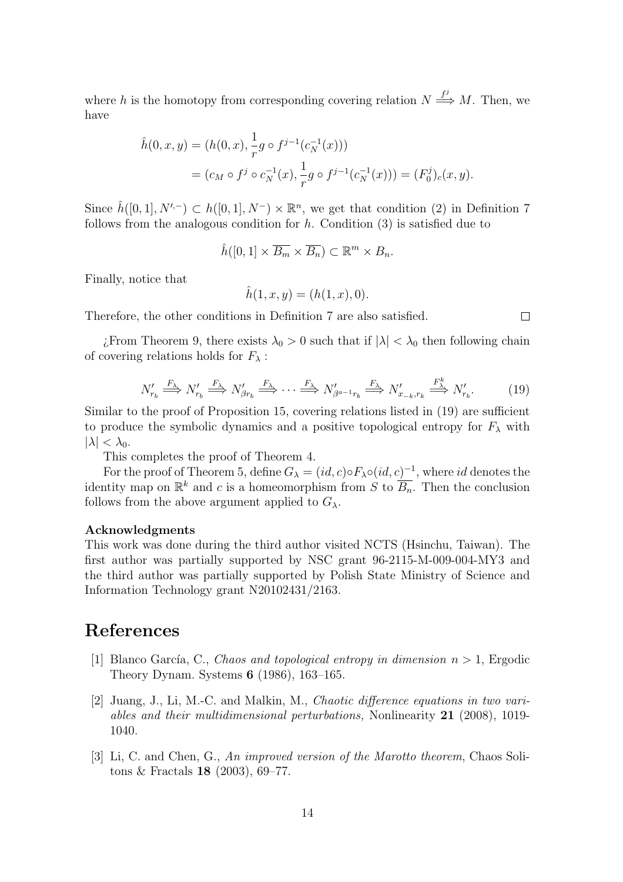where h is the homotopy from corresponding covering relation  $N \stackrel{f^j}{\Longrightarrow} M$ . Then, we have

$$
\hat{h}(0, x, y) = (h(0, x), \frac{1}{r}g \circ f^{j-1}(c_N^{-1}(x)))
$$
  
=  $(c_M \circ f^j \circ c_N^{-1}(x), \frac{1}{r}g \circ f^{j-1}(c_N^{-1}(x))) = (F_0^j)_c(x, y).$ 

Since  $\hat{h}([0,1], N'^{-}) \subset h([0,1], N^{-}) \times \mathbb{R}^{n}$ , we get that condition (2) in Definition 7 follows from the analogous condition for  $h$ . Condition  $(3)$  is satisfied due to

$$
\hat{h}([0,1] \times \overline{B_m} \times \overline{B_n}) \subset \mathbb{R}^m \times B_n.
$$

Finally, notice that

$$
\hat{h}(1, x, y) = (h(1, x), 0).
$$

Therefore, the other conditions in Definition 7 are also satisfied.

*i*. From Theorem 9, there exists  $\lambda_0 > 0$  such that if  $|\lambda| < \lambda_0$  then following chain of covering relations holds for  $F_{\lambda}$ :

$$
N'_{r_b} \stackrel{F_{\lambda}}{\Longrightarrow} N'_{r_b} \stackrel{F_{\lambda}}{\Longrightarrow} N'_{\beta r_b} \stackrel{F_{\lambda}}{\Longrightarrow} \cdots \stackrel{F_{\lambda}}{\Longrightarrow} N'_{\beta^{a-1}r_b} \stackrel{F_{\lambda}}{\Longrightarrow} N'_{x_{-k},r_k} \stackrel{F_{\lambda}^k}{\Longrightarrow} N'_{r_b}.
$$
 (19)

 $\Box$ 

Similar to the proof of Proposition 15, covering relations listed in (19) are sufficient to produce the symbolic dynamics and a positive topological entropy for  $F_{\lambda}$  with  $|\lambda| < \lambda_0$ .

This completes the proof of Theorem 4.

For the proof of Theorem 5, define  $G_{\lambda} = (id, c) \circ F_{\lambda} \circ (id, c)^{-1}$ , where id denotes the identity map on  $\mathbb{R}^k$  and c is a homeomorphism from S to  $\overline{B_n}$ . Then the conclusion follows from the above argument applied to  $G_{\lambda}$ .

#### Acknowledgments

This work was done during the third author visited NCTS (Hsinchu, Taiwan). The first author was partially supported by NSC grant 96-2115-M-009-004-MY3 and the third author was partially supported by Polish State Ministry of Science and Information Technology grant N20102431/2163.

### References

- [1] Blanco García, C., Chaos and topological entropy in dimension  $n > 1$ , Ergodic Theory Dynam. Systems 6 (1986), 163–165.
- [2] Juang, J., Li, M.-C. and Malkin, M., Chaotic difference equations in two variables and their multidimensional perturbations, Nonlinearity 21 (2008), 1019- 1040.
- [3] Li, C. and Chen, G., An improved version of the Marotto theorem, Chaos Solitons & Fractals 18 (2003), 69–77.